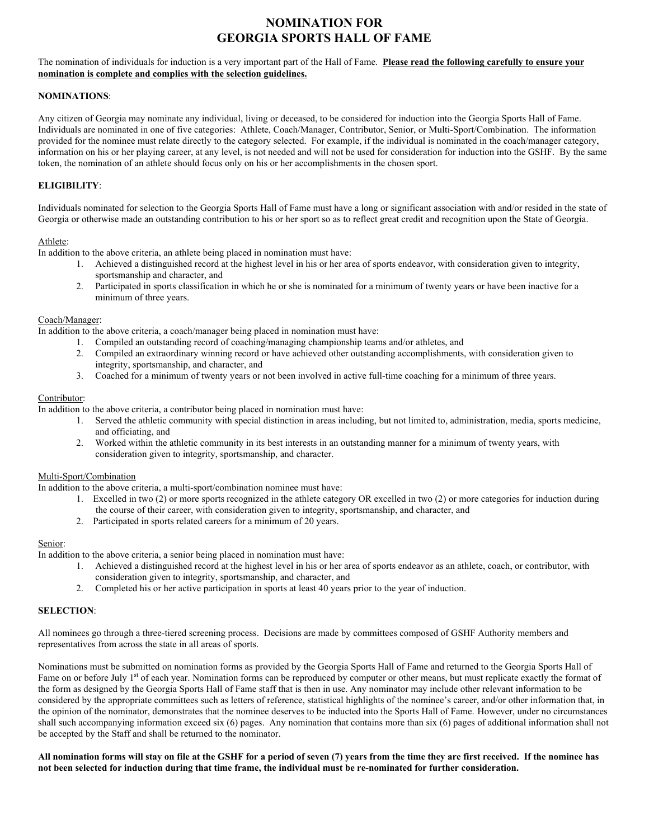# **NOMINATION FOR GEORGIA SPORTS HALL OF FAME**

# The nomination of individuals for induction is a very important part of the Hall of Fame. **Please read the following carefully to ensure your nomination is complete and complies with the selection guidelines.**

# **NOMINATIONS**:

Any citizen of Georgia may nominate any individual, living or deceased, to be considered for induction into the Georgia Sports Hall of Fame. Individuals are nominated in one of five categories: Athlete, Coach/Manager, Contributor, Senior, or Multi-Sport/Combination. The information provided for the nominee must relate directly to the category selected. For example, if the individual is nominated in the coach/manager category, information on his or her playing career, at any level, is not needed and will not be used for consideration for induction into the GSHF. By the same token, the nomination of an athlete should focus only on his or her accomplishments in the chosen sport.

# **ELIGIBILITY**:

Individuals nominated for selection to the Georgia Sports Hall of Fame must have a long or significant association with and/or resided in the state of Georgia or otherwise made an outstanding contribution to his or her sport so as to reflect great credit and recognition upon the State of Georgia.

#### Athlete:

In addition to the above criteria, an athlete being placed in nomination must have:

- 1. Achieved a distinguished record at the highest level in his or her area of sports endeavor, with consideration given to integrity, sportsmanship and character, and
- 2. Participated in sports classification in which he or she is nominated for a minimum of twenty years or have been inactive for a minimum of three years.

#### Coach/Manager:

In addition to the above criteria, a coach/manager being placed in nomination must have:

- 1. Compiled an outstanding record of coaching/managing championship teams and/or athletes, and
- 2. Compiled an extraordinary winning record or have achieved other outstanding accomplishments, with consideration given to integrity, sportsmanship, and character, and
- 3. Coached for a minimum of twenty years or not been involved in active full-time coaching for a minimum of three years.

#### Contributor:

In addition to the above criteria, a contributor being placed in nomination must have:

- 1. Served the athletic community with special distinction in areas including, but not limited to, administration, media, sports medicine, and officiating, and
- 2. Worked within the athletic community in its best interests in an outstanding manner for a minimum of twenty years, with consideration given to integrity, sportsmanship, and character.

## Multi-Sport/Combination

In addition to the above criteria, a multi-sport/combination nominee must have:

- 1. Excelled in two (2) or more sports recognized in the athlete category OR excelled in two (2) or more categories for induction during the course of their career, with consideration given to integrity, sportsmanship, and character, and
- 2. Participated in sports related careers for a minimum of 20 years.

#### Senior:

In addition to the above criteria, a senior being placed in nomination must have:

- 1. Achieved a distinguished record at the highest level in his or her area of sports endeavor as an athlete, coach, or contributor, with consideration given to integrity, sportsmanship, and character, and
- 2. Completed his or her active participation in sports at least 40 years prior to the year of induction.

## **SELECTION**:

All nominees go through a three-tiered screening process. Decisions are made by committees composed of GSHF Authority members and representatives from across the state in all areas of sports.

Nominations must be submitted on nomination forms as provided by the Georgia Sports Hall of Fame and returned to the Georgia Sports Hall of Fame on or before July 1<sup>st</sup> of each year. Nomination forms can be reproduced by computer or other means, but must replicate exactly the format of the form as designed by the Georgia Sports Hall of Fame staff that is then in use. Any nominator may include other relevant information to be considered by the appropriate committees such as letters of reference, statistical highlights of the nominee's career, and/or other information that, in the opinion of the nominator, demonstrates that the nominee deserves to be inducted into the Sports Hall of Fame. However, under no circumstances shall such accompanying information exceed six (6) pages. Any nomination that contains more than six (6) pages of additional information shall not be accepted by the Staff and shall be returned to the nominator.

#### **All nomination forms will stay on file at the GSHF for a period of seven (7) years from the time they are first received. If the nominee has not been selected for induction during that time frame, the individual must be re-nominated for further consideration.**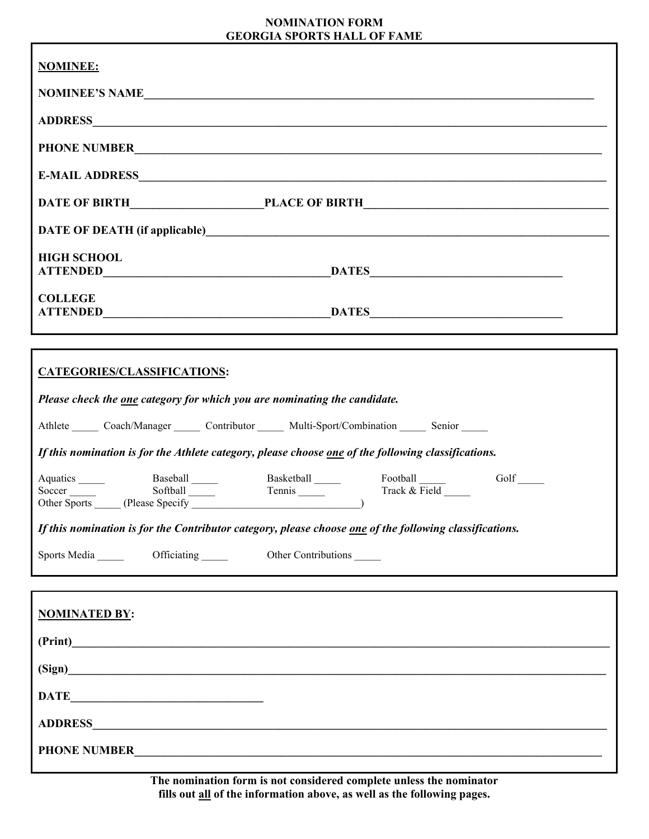# **NOMINATION FORM**

| <b>GEORGIA SPORTS HALL OF FAME</b>                                                                                                                                                                  |  |  |
|-----------------------------------------------------------------------------------------------------------------------------------------------------------------------------------------------------|--|--|
| <b>NOMINEE:</b>                                                                                                                                                                                     |  |  |
| NOMINEE'S NAME                                                                                                                                                                                      |  |  |
|                                                                                                                                                                                                     |  |  |
| PHONE NUMBER                                                                                                                                                                                        |  |  |
|                                                                                                                                                                                                     |  |  |
|                                                                                                                                                                                                     |  |  |
|                                                                                                                                                                                                     |  |  |
| <b>HIGH SCHOOL</b>                                                                                                                                                                                  |  |  |
| <b>COLLEGE</b>                                                                                                                                                                                      |  |  |
| ,我们也不会有什么。""我们的人,我们也不会有什么?""我们的人,我们也不会有什么?""我们的人,我们也不会有什么?""我们的人,我们也不会有什么?""我们的人<br>,我们也不会有什么。""我们的人,我们也不会有什么?""我们的人,我们也不会有什么?""我们的人,我们也不会有什么?""我们的人,我们也不会有什么?""我们的人                                |  |  |
| CATEGORIES/CLASSIFICATIONS:                                                                                                                                                                         |  |  |
| Please check the one category for which you are nominating the candidate.                                                                                                                           |  |  |
| Athlete Coach/Manager Contributor Multi-Sport/Combination Senior                                                                                                                                    |  |  |
| If this nomination is for the Athlete category, please choose one of the following classifications.                                                                                                 |  |  |
| Aquatics Baseball Basketball Football Football<br>Soccer Sports Basketball Tennis Football<br>Other Sports (Please Specify Tennis Track & Field Track & Teld Track 2014)<br>$Golf$ <sub>_____</sub> |  |  |
| If this nomination is for the Contributor category, please choose one of the following classifications.                                                                                             |  |  |
| Other Contributions                                                                                                                                                                                 |  |  |
|                                                                                                                                                                                                     |  |  |
| <b>NOMINATED BY:</b>                                                                                                                                                                                |  |  |

| (Print)<br><u> 1980 - Johann John Stein, markin fan it fjort fan it fjort fan it fjort fan it fjort fan it fjort fan it fjort f</u>      |  |
|------------------------------------------------------------------------------------------------------------------------------------------|--|
| (Sign)                                                                                                                                   |  |
| <b>DATE</b><br><u> 1986 - Johann Stein, mars an deutscher Stein (</u>                                                                    |  |
| <b>ADDRESS</b><br><u> 1980 - Jan Barbara, margaretar amerikan basar dan berasal dan berasal dalam basar dalam basar dalam berasal da</u> |  |
| <b>PHONE NUMBER</b>                                                                                                                      |  |

**The nomination form is not considered complete unless the nominator fills out all of the information above, as well as the following pages.**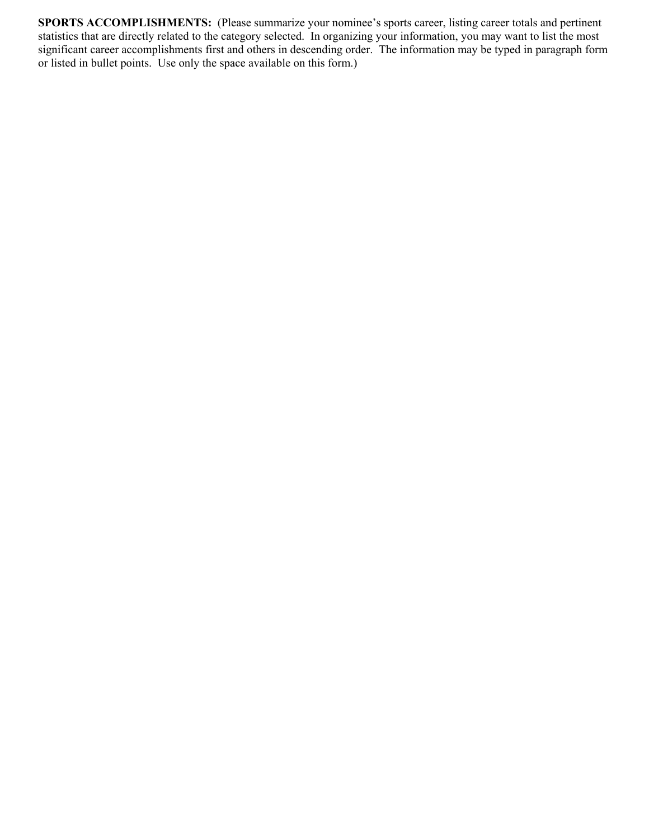**SPORTS ACCOMPLISHMENTS:** (Please summarize your nominee's sports career, listing career totals and pertinent statistics that are directly related to the category selected. In organizing your information, you may want to list the most significant career accomplishments first and others in descending order. The information may be typed in paragraph form or listed in bullet points. Use only the space available on this form.)